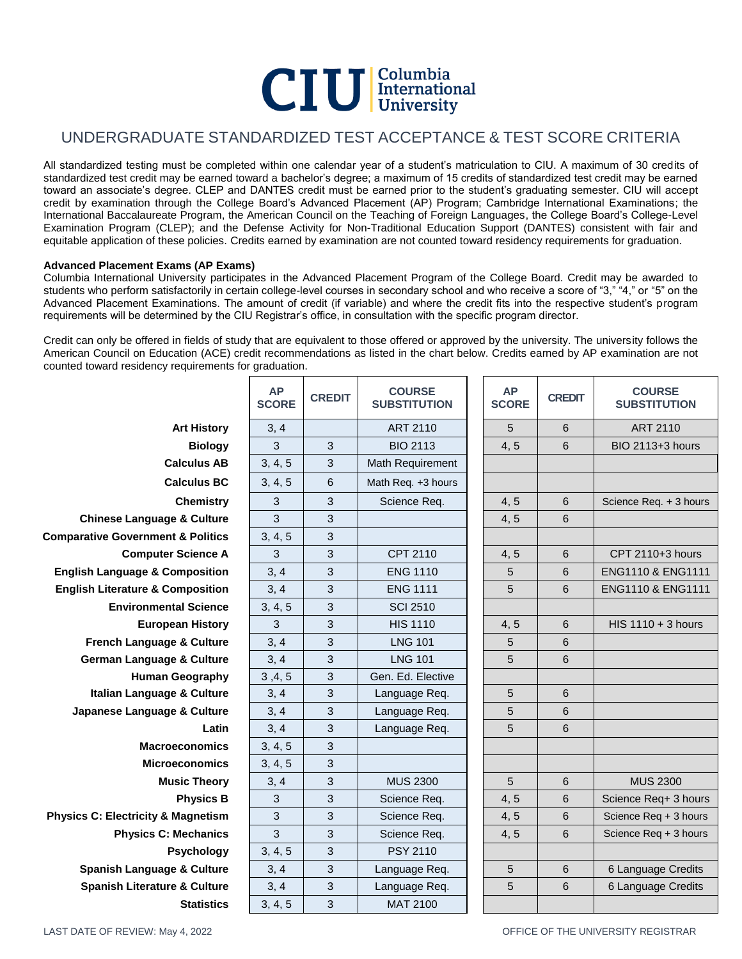# **CIU** Columbia<br>University

## UNDERGRADUATE STANDARDIZED TEST ACCEPTANCE & TEST SCORE CRITERIA

All standardized testing must be completed within one calendar year of a student's matriculation to CIU. A maximum of 30 credits of standardized test credit may be earned toward a bachelor's degree; a maximum of 15 credits of standardized test credit may be earned toward an associate's degree. CLEP and DANTES credit must be earned prior to the student's graduating semester. CIU will accept credit by examination through the College Board's Advanced Placement (AP) Program; Cambridge International Examinations; the International Baccalaureate Program, the American Council on the Teaching of Foreign Languages, the College Board's College-Level Examination Program (CLEP); and the Defense Activity for Non-Traditional Education Support (DANTES) consistent with fair and equitable application of these policies. Credits earned by examination are not counted toward residency requirements for graduation.

### **Advanced Placement Exams (AP Exams)**

Columbia International University participates in the Advanced Placement Program of the College Board. Credit may be awarded to students who perform satisfactorily in certain college-level courses in secondary school and who receive a score of "3," "4," or "5" on the Advanced Placement Examinations. The amount of credit (if variable) and where the credit fits into the respective student's program requirements will be determined by the CIU Registrar's office, in consultation with the specific program director.

Credit can only be offered in fields of study that are equivalent to those offered or approved by the university. The university follows the American Council on Education (ACE) credit recommendations as listed in the chart below. Credits earned by AP examination are not counted toward residency requirements for graduation.

|                                               | <b>AP</b><br><b>SCORE</b> | <b>CREDIT</b> | <b>COURSE</b><br><b>SUBSTITUTION</b> | <b>AP</b><br><b>SCORE</b> | <b>CREDIT</b>   | <b>COURSE</b><br><b>SUBSTITUTION</b> |
|-----------------------------------------------|---------------------------|---------------|--------------------------------------|---------------------------|-----------------|--------------------------------------|
| <b>Art History</b>                            | 3, 4                      |               | ART 2110                             | 5                         | 6               | ART 2110                             |
| <b>Biology</b>                                | 3                         | 3             | <b>BIO 2113</b>                      | 4, 5                      | 6               | BIO 2113+3 hours                     |
| <b>Calculus AB</b>                            | 3, 4, 5                   | 3             | Math Requirement                     |                           |                 |                                      |
| <b>Calculus BC</b>                            | 3, 4, 5                   | 6             | Math Req. +3 hours                   |                           |                 |                                      |
| <b>Chemistry</b>                              | 3                         | 3             | Science Req.                         | 4, 5                      | 6               | Science Req. + 3 hours               |
| <b>Chinese Language &amp; Culture</b>         | 3                         | 3             |                                      | 4, 5                      | 6               |                                      |
| <b>Comparative Government &amp; Politics</b>  | 3, 4, 5                   | 3             |                                      |                           |                 |                                      |
| <b>Computer Science A</b>                     | 3                         | $\mathbf{3}$  | CPT 2110                             | 4, 5                      | 6               | CPT 2110+3 hours                     |
| <b>English Language &amp; Composition</b>     | 3, 4                      | 3             | <b>ENG 1110</b>                      | 5                         | 6               | ENG1110 & ENG1111                    |
| <b>English Literature &amp; Composition</b>   | 3, 4                      | 3             | <b>ENG 1111</b>                      | 5                         | 6               | ENG1110 & ENG1111                    |
| <b>Environmental Science</b>                  | 3, 4, 5                   | 3             | <b>SCI 2510</b>                      |                           |                 |                                      |
| <b>European History</b>                       | 3                         | 3             | <b>HIS 1110</b>                      | 4, 5                      | 6               | HIS $1110 + 3$ hours                 |
| French Language & Culture                     | 3, 4                      | 3             | <b>LNG 101</b>                       | 5                         | 6               |                                      |
| <b>German Language &amp; Culture</b>          | 3, 4                      | 3             | <b>LNG 101</b>                       | 5                         | 6               |                                      |
| <b>Human Geography</b>                        | 3, 4, 5                   | 3             | Gen. Ed. Elective                    |                           |                 |                                      |
| Italian Language & Culture                    | 3, 4                      | 3             | Language Req.                        | 5                         | $6\phantom{1}6$ |                                      |
| Japanese Language & Culture                   | 3, 4                      | 3             | Language Req.                        | 5                         | 6               |                                      |
| Latin                                         | 3, 4                      | 3             | Language Req.                        | 5                         | 6               |                                      |
| <b>Macroeconomics</b>                         | 3, 4, 5                   | 3             |                                      |                           |                 |                                      |
| <b>Microeconomics</b>                         | 3, 4, 5                   | 3             |                                      |                           |                 |                                      |
| <b>Music Theory</b>                           | 3, 4                      | 3             | <b>MUS 2300</b>                      | 5                         | 6               | <b>MUS 2300</b>                      |
| <b>Physics B</b>                              | 3                         | 3             | Science Req.                         | 4, 5                      | 6               | Science Req+ 3 hours                 |
| <b>Physics C: Electricity &amp; Magnetism</b> | 3                         | 3             | Science Req.                         | 4, 5                      | 6               | Science Req + 3 hours                |
| <b>Physics C: Mechanics</b>                   | 3                         | 3             | Science Req.                         | 4, 5                      | $6\phantom{1}6$ | Science Req + 3 hours                |
| Psychology                                    | 3, 4, 5                   | 3             | <b>PSY 2110</b>                      |                           |                 |                                      |
| <b>Spanish Language &amp; Culture</b>         | 3, 4                      | 3             | Language Req.                        | 5                         | 6               | 6 Language Credits                   |
| <b>Spanish Literature &amp; Culture</b>       | 3, 4                      | 3             | Language Req.                        | 5                         | 6               | 6 Language Credits                   |
| <b>Statistics</b>                             | 3, 4, 5                   | 3             | MAT 2100                             |                           |                 |                                      |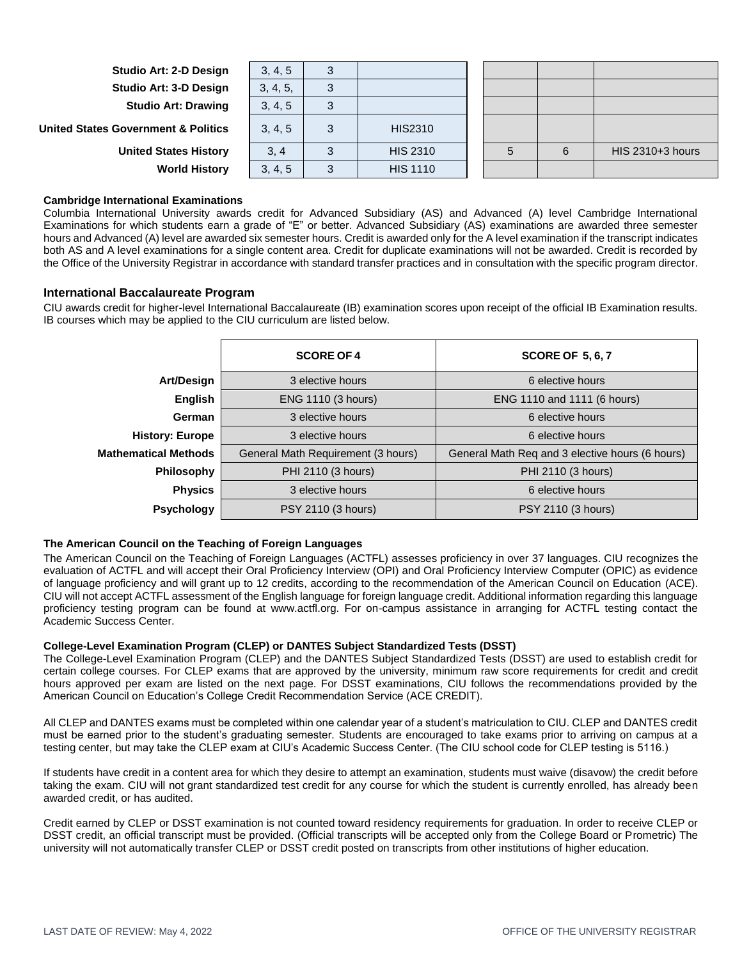**Studio Art: 2-D Design Studio Art: 3-D Design Studio Art: Drawing** 

**United States Government & Politics** 

**United States History World History** 

| 3, 4, 5  | $\sqrt{2}$ |                 |  |  |
|----------|------------|-----------------|--|--|
| 3, 4, 5, |            |                 |  |  |
| 3, 4, 5  |            |                 |  |  |
| 3, 4, 5  | 3          | <b>HIS2310</b>  |  |  |
| 3, 4     |            | <b>HIS 2310</b> |  |  |
| 3, 4, 5  |            | <b>HIS 1110</b> |  |  |

| ี่ค | HIS 2310+3 hours |
|-----|------------------|
|     |                  |

#### **Cambridge International Examinations**

Columbia International University awards credit for Advanced Subsidiary (AS) and Advanced (A) level Cambridge International Examinations for which students earn a grade of "E" or better. Advanced Subsidiary (AS) examinations are awarded three semester hours and Advanced (A) level are awarded six semester hours. Credit is awarded only for the A level examination if the transcript indicates both AS and A level examinations for a single content area. Credit for duplicate examinations will not be awarded. Credit is recorded by the Office of the University Registrar in accordance with standard transfer practices and in consultation with the specific program director.

#### **International Baccalaureate Program**

CIU awards credit for higher-level International Baccalaureate (IB) examination scores upon receipt of the official IB Examination results. IB courses which may be applied to the CIU curriculum are listed below.

|                             | <b>SCORE OF 4</b>                  | <b>SCORE OF 5, 6, 7</b>                         |  |  |
|-----------------------------|------------------------------------|-------------------------------------------------|--|--|
| <b>Art/Design</b>           | 3 elective hours                   | 6 elective hours                                |  |  |
| English                     | ENG 1110 (3 hours)                 | ENG 1110 and 1111 (6 hours)                     |  |  |
| German                      | 3 elective hours                   | 6 elective hours                                |  |  |
| <b>History: Europe</b>      | 3 elective hours                   | 6 elective hours                                |  |  |
| <b>Mathematical Methods</b> | General Math Requirement (3 hours) | General Math Req and 3 elective hours (6 hours) |  |  |
| Philosophy                  | PHI 2110 (3 hours)                 | PHI 2110 (3 hours)                              |  |  |
| <b>Physics</b>              | 3 elective hours                   | 6 elective hours                                |  |  |
| <b>Psychology</b>           | PSY 2110 (3 hours)                 | PSY 2110 (3 hours)                              |  |  |

#### **The American Council on the Teaching of Foreign Languages**

The American Council on the Teaching of Foreign Languages (ACTFL) assesses proficiency in over 37 languages. CIU recognizes the evaluation of ACTFL and will accept their Oral Proficiency Interview (OPI) and Oral Proficiency Interview Computer (OPIC) as evidence of language proficiency and will grant up to 12 credits, according to the recommendation of the American Council on Education (ACE). CIU will not accept ACTFL assessment of the English language for foreign language credit. Additional information regarding this language proficiency testing program can be found at www.actfl.org. For on-campus assistance in arranging for ACTFL testing contact the Academic Success Center.

#### **College-Level Examination Program (CLEP) or DANTES Subject Standardized Tests (DSST)**

The College-Level Examination Program (CLEP) and the DANTES Subject Standardized Tests (DSST) are used to establish credit for certain college courses. For CLEP exams that are approved by the university, minimum raw score requirements for credit and credit hours approved per exam are listed on the next page. For DSST examinations, CIU follows the recommendations provided by the American Council on Education's College Credit Recommendation Service (ACE CREDIT).

All CLEP and DANTES exams must be completed within one calendar year of a student's matriculation to CIU. CLEP and DANTES credit must be earned prior to the student's graduating semester. Students are encouraged to take exams prior to arriving on campus at a testing center, but may take the CLEP exam at CIU's Academic Success Center. (The CIU school code for CLEP testing is 5116.)

If students have credit in a content area for which they desire to attempt an examination, students must waive (disavow) the credit before taking the exam. CIU will not grant standardized test credit for any course for which the student is currently enrolled, has already been awarded credit, or has audited.

Credit earned by CLEP or DSST examination is not counted toward residency requirements for graduation. In order to receive CLEP or DSST credit, an official transcript must be provided. (Official transcripts will be accepted only from the College Board or Prometric) The university will not automatically transfer CLEP or DSST credit posted on transcripts from other institutions of higher education.